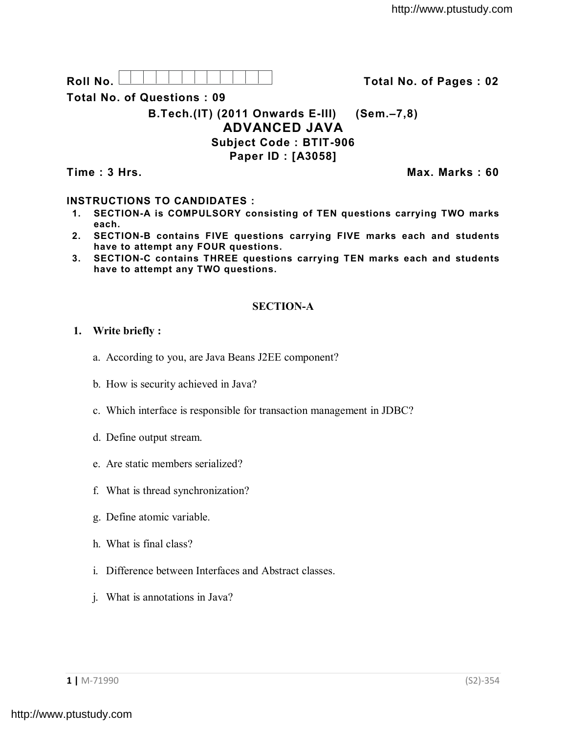**Roll No. Total No. of Pages : 02**

**Total No. of Questions : 09**

**B.Tech.(IT) (2011 Onwards E-III) (Sem.–7,8) ADVANCED JAVA Subject Code : BTIT-906 Paper ID : [A3058]**

**Time : 3 Hrs. Max. Marks : 60**

# **INSTRUCTIONS TO CANDIDATES :**

- **1. SECTION-A is COMPULSORY consisting of TEN questions carrying TWO marks each.**
- **2. SECTION-B contains FIVE questions carrying FIVE marks each and students have to attempt any FOUR questions.**
- **3. SECTION-C contains THREE questions carrying TEN marks each and students have to attempt any TWO questions.**

## **SECTION-A**

### **1. Write briefly :**

- a. According to you, are Java Beans J2EE component?
- b. How is security achieved in Java?
- c. Which interface is responsible for transaction management in JDBC?
- d. Define output stream.
- e. Are static members serialized?
- f. What is thread synchronization?
- g. Define atomic variable.
- h. What is final class?
- i. Difference between Interfaces and Abstract classes.
- j. What is annotations in Java?